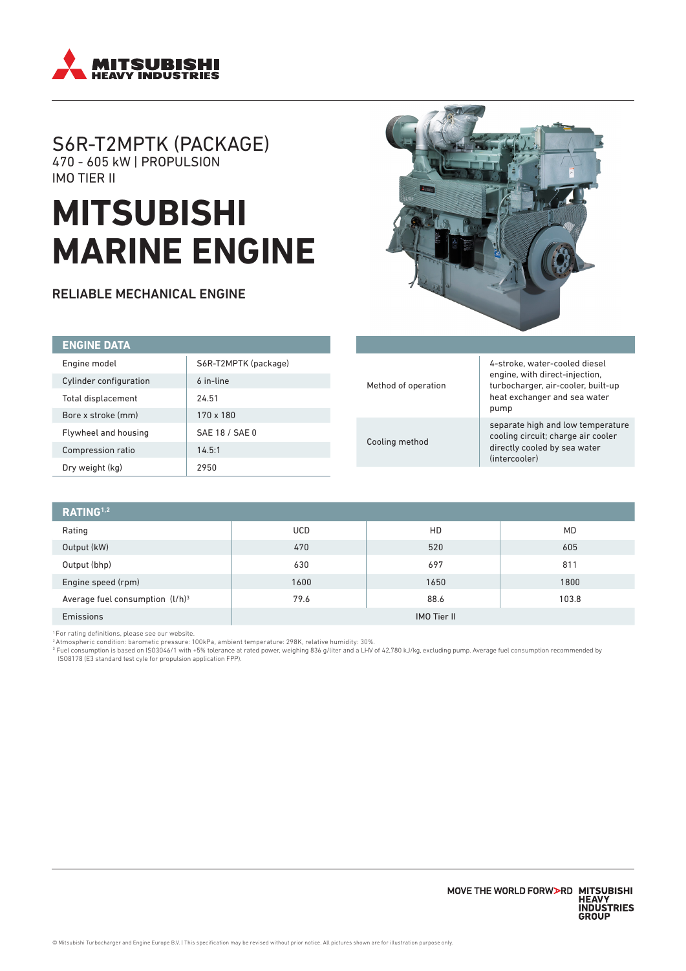

# S6R-T2MPTK (PACKAGE) 470 - 605 kW | PROPULSION IMO TIER II

# **MITSUBISHI MARINE ENGINE**

RELIABLE MECHANICAL ENGINE



| <b>ENGINE DATA</b>     |                      |  |                                       |                                                                                                                                                                                                                                                          |
|------------------------|----------------------|--|---------------------------------------|----------------------------------------------------------------------------------------------------------------------------------------------------------------------------------------------------------------------------------------------------------|
| Engine model           | S6R-T2MPTK (package) |  | Method of operation<br>Cooling method | 4-stroke, water-cooled diesel<br>engine, with direct-injection,<br>turbocharger, air-cooler, built-up<br>heat exchanger and sea water<br>pump<br>separate high and low temperature<br>cooling circuit; charge air cooler<br>directly cooled by sea water |
| Cylinder configuration | 6 in-line            |  |                                       |                                                                                                                                                                                                                                                          |
| Total displacement     | 24.51                |  |                                       |                                                                                                                                                                                                                                                          |
| Bore x stroke (mm)     | $170 \times 180$     |  |                                       |                                                                                                                                                                                                                                                          |
| Flywheel and housing   | SAE 18 / SAE 0       |  |                                       |                                                                                                                                                                                                                                                          |
| Compression ratio      | 14.5:1               |  |                                       |                                                                                                                                                                                                                                                          |
| Dry weight (kg)        | 2950                 |  |                                       | (intercooler)                                                                                                                                                                                                                                            |

| RATING <sup>1,2</sup>              |                    |      |           |  |
|------------------------------------|--------------------|------|-----------|--|
| Rating                             | <b>UCD</b>         | HD   | <b>MD</b> |  |
| Output (kW)                        | 470                | 520  | 605       |  |
| Output (bhp)                       | 630                | 697  | 811       |  |
| Engine speed (rpm)                 | 1600               | 1650 | 1800      |  |
| Average fuel consumption $(l/h)^3$ | 79.6               | 88.6 | 103.8     |  |
| Emissions                          | <b>IMO Tier II</b> |      |           |  |

' For rating definitions, please see our website.<br>? Atmospheric condition: barometic pressure: 100kPa, ambient temperature: 298K, relative humidity: 30%.<br>ª Fuel consumption is based on ISO3046/1 with +5% tolerance at rate ISO8178 (E3 standard test cyle for propulsion application FPP).